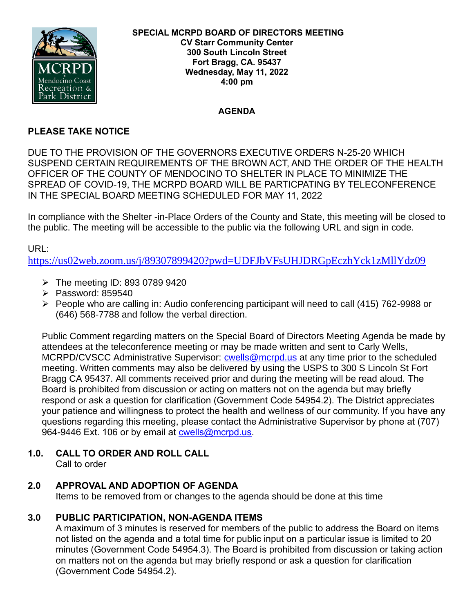

#### **AGENDA**

#### **PLEASE TAKE NOTICE**

DUE TO THE PROVISION OF THE GOVERNORS EXECUTIVE ORDERS N-25-20 WHICH SUSPEND CERTAIN REQUIREMENTS OF THE BROWN ACT, AND THE ORDER OF THE HEALTH OFFICER OF THE COUNTY OF MENDOCINO TO SHELTER IN PLACE TO MINIMIZE THE SPREAD OF COVID-19, THE MCRPD BOARD WILL BE PARTICPATING BY TELECONFERENCE IN THE SPECIAL BOARD MEETING SCHEDULED FOR MAY 11, 2022

In compliance with the Shelter -in-Place Orders of the County and State, this meeting will be closed to the public. The meeting will be accessible to the public via the following URL and sign in code.

URL:

<https://us02web.zoom.us/j/89307899420?pwd=UDFJbVFsUHJDRGpEczhYck1zMllYdz09>

- $\triangleright$  The meeting ID: 893 0789 9420
- ➢ Password: 859540
- ➢ People who are calling in: Audio conferencing participant will need to call (415) 762-9988 or (646) 568-7788 and follow the verbal direction.

Public Comment regarding matters on the Special Board of Directors Meeting Agenda be made by attendees at the teleconference meeting or may be made written and sent to Carly Wells, MCRPD/CVSCC Administrative Supervisor: [cwells@mcrpd.us](mailto:cwells@mcrpd.us) at any time prior to the scheduled meeting. Written comments may also be delivered by using the USPS to 300 S Lincoln St Fort Bragg CA 95437. All comments received prior and during the meeting will be read aloud. The Board is prohibited from discussion or acting on matters not on the agenda but may briefly respond or ask a question for clarification (Government Code 54954.2). The District appreciates your patience and willingness to protect the health and wellness of our community. If you have any questions regarding this meeting, please contact the Administrative Supervisor by phone at (707) 964-9446 Ext. 106 or by email at [cwells@mcrpd.us.](mailto:cwells@mcrpd.us)

#### **1.0. CALL TO ORDER AND ROLL CALL**

Call to order

### **2.0 APPROVAL AND ADOPTION OF AGENDA**

Items to be removed from or changes to the agenda should be done at this time

### **3.0 PUBLIC PARTICIPATION, NON-AGENDA ITEMS**

A maximum of 3 minutes is reserved for members of the public to address the Board on items not listed on the agenda and a total time for public input on a particular issue is limited to 20 minutes (Government Code 54954.3). The Board is prohibited from discussion or taking action on matters not on the agenda but may briefly respond or ask a question for clarification (Government Code 54954.2).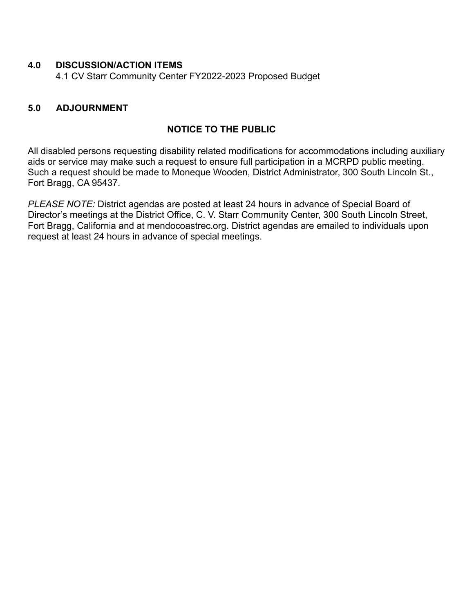#### **4.0 DISCUSSION/ACTION ITEMS**

4.1 CV Starr Community Center FY2022-2023 Proposed Budget

#### **5.0 ADJOURNMENT**

#### **NOTICE TO THE PUBLIC**

All disabled persons requesting disability related modifications for accommodations including auxiliary aids or service may make such a request to ensure full participation in a MCRPD public meeting. Such a request should be made to Moneque Wooden, District Administrator, 300 South Lincoln St., Fort Bragg, CA 95437.

*PLEASE NOTE:* District agendas are posted at least 24 hours in advance of Special Board of Director's meetings at the District Office, C. V. Starr Community Center, 300 South Lincoln Street, Fort Bragg, California and at mendocoastrec.org. District agendas are emailed to individuals upon request at least 24 hours in advance of special meetings.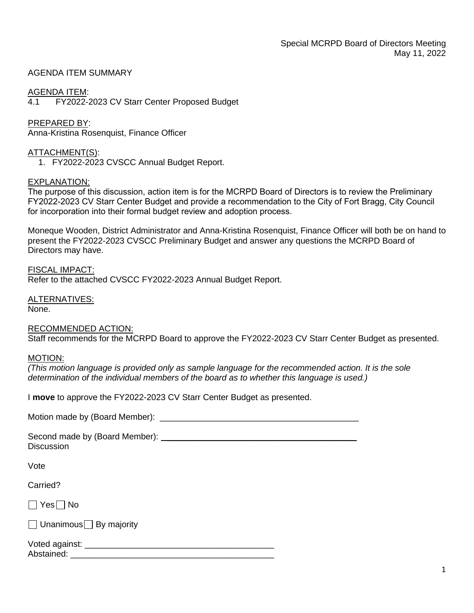#### AGENDA ITEM SUMMARY

#### AGENDA ITEM:

4.1 FY2022-2023 CV Starr Center Proposed Budget

#### PREPARED BY:

Anna-Kristina Rosenquist, Finance Officer

#### ATTACHMENT(S):

1. FY2022-2023 CVSCC Annual Budget Report.

#### EXPLANATION:

The purpose of this discussion, action item is for the MCRPD Board of Directors is to review the Preliminary FY2022-2023 CV Starr Center Budget and provide a recommendation to the City of Fort Bragg, City Council for incorporation into their formal budget review and adoption process.

Moneque Wooden, District Administrator and Anna-Kristina Rosenquist, Finance Officer will both be on hand to present the FY2022-2023 CVSCC Preliminary Budget and answer any questions the MCRPD Board of Directors may have.

FISCAL IMPACT: Refer to the attached CVSCC FY2022-2023 Annual Budget Report.

ALTERNATIVES:

None.

#### RECOMMENDED ACTION:

Staff recommends for the MCRPD Board to approve the FY2022-2023 CV Starr Center Budget as presented.

#### MOTION:

*(This motion language is provided only as sample language for the recommended action. It is the sole determination of the individual members of the board as to whether this language is used.)*

I **move** to approve the FY2022-2023 CV Starr Center Budget as presented.

Motion made by (Board Member): \_\_\_\_\_\_\_\_\_\_\_\_\_\_\_\_\_\_\_\_\_\_\_\_\_\_\_\_\_\_\_\_\_\_\_\_\_\_\_\_\_\_

Second made by (Board Member): **Example 20** and the second made by (Board Member): **Discussion** 

Vote

Carried?

 $\Box$  Yes  $\Box$  No

 $\Box$  Unanimous $\Box$  By majority

| Voted against: |  |
|----------------|--|
| Abstained:     |  |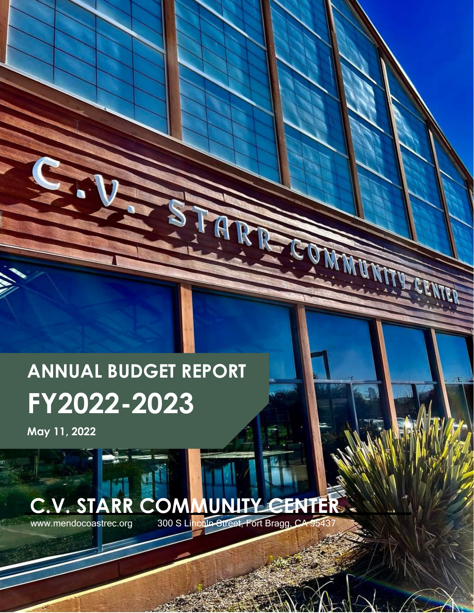# **ANNUAL BUDGET REPORT FY2022-2023**

**May 11, 2022**

## www.mendocoastrec.org 300 S Lincoln Street, Fort Bragg, CA 95437 **C.V. STARR COMMUNITY CENTER**

BU

MAN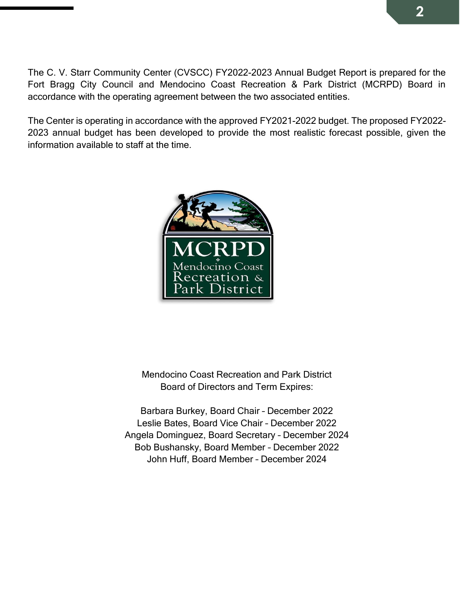The C. V. Starr Community Center (CVSCC) FY2022-2023 Annual Budget Report is prepared for the Fort Bragg City Council and Mendocino Coast Recreation & Park District (MCRPD) Board in accordance with the operating agreement between the two associated entities.

The Center is operating in accordance with the approved FY2021-2022 budget. The proposed FY2022- 2023 annual budget has been developed to provide the most realistic forecast possible, given the information available to staff at the time.



Mendocino Coast Recreation and Park District Board of Directors and Term Expires:

Barbara Burkey, Board Chair – December 2022 Leslie Bates, Board Vice Chair – December 2022 Angela Dominguez, Board Secretary – December 2024 Bob Bushansky, Board Member – December 2022 John Huff, Board Member – December 2024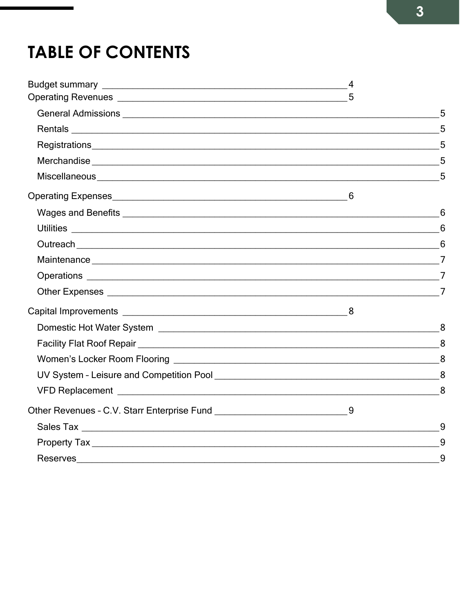## **TABLE OF CONTENTS**

|                                                                                                                                  | -4 |          |
|----------------------------------------------------------------------------------------------------------------------------------|----|----------|
|                                                                                                                                  |    |          |
|                                                                                                                                  |    |          |
|                                                                                                                                  |    | 5        |
|                                                                                                                                  |    |          |
|                                                                                                                                  |    |          |
|                                                                                                                                  |    |          |
|                                                                                                                                  |    |          |
|                                                                                                                                  |    | 6        |
|                                                                                                                                  |    |          |
|                                                                                                                                  |    |          |
|                                                                                                                                  |    |          |
|                                                                                                                                  |    |          |
|                                                                                                                                  |    |          |
|                                                                                                                                  |    |          |
|                                                                                                                                  |    |          |
|                                                                                                                                  |    |          |
|                                                                                                                                  |    |          |
|                                                                                                                                  |    |          |
|                                                                                                                                  |    | $\sim$ 8 |
|                                                                                                                                  |    |          |
|                                                                                                                                  |    | 9        |
|                                                                                                                                  |    |          |
| Reserves<br><u> 1989 - Jan Sarajević, politika i postala i postala i postala i postala i postala i postala i postala i posta</u> |    | 9        |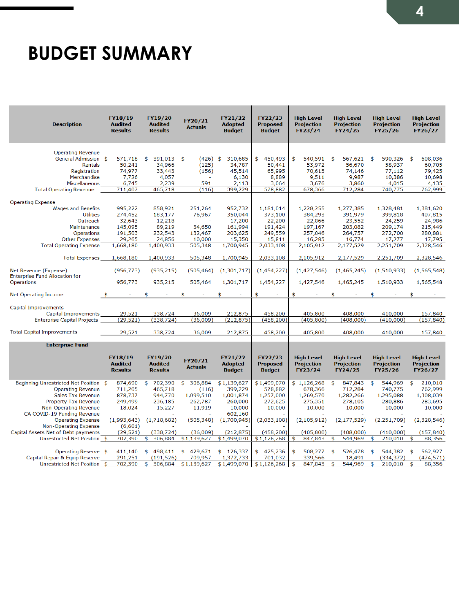## <span id="page-6-0"></span>**BUDGET SUMMARY**

| <b>Description</b>                                             | FY18/19<br><b>Audited</b><br><b>Results</b> | <b>FY19/20</b><br><b>Audited</b><br><b>Results</b> | FY20/21<br><b>Actuals</b> | FY21/22<br><b>Adopted</b><br><b>Budget</b> | FY22/23<br>Proposed<br><b>Budget</b>        | <b>High Level</b><br><b>Projection</b><br>FY23/24 | <b>High Level</b><br><b>Projection</b><br>FY24/25 | <b>High Level</b><br><b>Projection</b><br>FY25/26 | <b>High Level</b><br><b>Projection</b><br>FY26/27 |
|----------------------------------------------------------------|---------------------------------------------|----------------------------------------------------|---------------------------|--------------------------------------------|---------------------------------------------|---------------------------------------------------|---------------------------------------------------|---------------------------------------------------|---------------------------------------------------|
| <b>Operating Revenue</b>                                       |                                             |                                                    |                           |                                            |                                             |                                                   |                                                   |                                                   |                                                   |
| General Admission \$                                           | 571,718                                     | 391,013<br>\$                                      | \$<br>$(426)$ \$          | 310,685                                    | 450,493<br>\$                               | 540,591<br>\$                                     | 567,621<br>\$                                     | 590,326<br>\$                                     | 608,036<br>\$                                     |
| Rentals                                                        | 50,241                                      | 34,966                                             | (125)                     | 34,787                                     | 50,441                                      | 53,972                                            | 56,670                                            | 58,937                                            | 60,705                                            |
| Registration                                                   | 74,977                                      | 33,443                                             | (156)                     | 45,514                                     | 65,995                                      | 70,615                                            | 74,146                                            | 77,112                                            | 79,425                                            |
| Merchandise                                                    | 7,726<br>6,745                              | 4,057                                              | 591                       | 6,130                                      | 8,889                                       | 9,511                                             | 9,987                                             | 10,386                                            | 10,698                                            |
| <b>Miscellaneous</b><br><b>Total Operating Revenue</b>         | 711,407                                     | 2,239<br>465,718                                   | (116)                     | 2,113<br>399,229                           | 3,064<br>578,882                            | 3,676<br>678,366                                  | 3,860<br>712,284                                  | 4,015<br>740,775                                  | 4,135<br>762,999                                  |
|                                                                |                                             |                                                    |                           |                                            |                                             |                                                   |                                                   |                                                   |                                                   |
| <b>Operating Expense</b>                                       |                                             |                                                    |                           |                                            |                                             |                                                   |                                                   |                                                   |                                                   |
| <b>Wages and Benefits</b><br><b>Utilities</b>                  | 995,222<br>274,452                          | 858,921<br>183,177                                 | 251,264<br>76,967         | 952,732<br>350,044                         | 1,181,014<br>373,100                        | 1,228,255<br>384,293                              | 1,277,385<br>391,979                              | 1,328,481<br>399,818                              | 1,381,620<br>407,815                              |
| Outreach                                                       | 32,643                                      | 12,218                                             |                           | 17,200                                     | 22,200                                      | 22,866                                            | 23,552                                            | 24,259                                            | 24,986                                            |
| Maintenance                                                    | 145,095                                     | 89,219                                             | 34,650                    | 161,994                                    | 191,424                                     | 197,167                                           | 203,082                                           | 209,174                                           | 215,449                                           |
| Operations                                                     | 191,503                                     | 232,543                                            | 132,467                   | 203,625                                    | 249,559                                     | 257,046                                           | 264,757                                           | 272,700                                           | 280,881                                           |
| <b>Other Expenses</b>                                          | 29,265                                      | 24,856                                             | 10,000                    | 15,350                                     | 15,811                                      | 16,285                                            | 16,774                                            | 17,277                                            | 17,795                                            |
| <b>Total Operating Expense</b>                                 | 1,668,180                                   | 1,400,933                                          | 505,348                   | 1,700,945                                  | 2,033,108                                   | 2,105,912                                         | 2,177,529                                         | 2,251,709                                         | 2,328,546                                         |
| <b>Total Expenses</b>                                          | 1,668,180                                   | 1,400,933                                          | 505,348                   | 1,700,945                                  | 2,033,108                                   | 2,105,912                                         | 2,177,529                                         | 2,251,709                                         | 2,328,546                                         |
| Net Revenue (Expense)<br><b>Enterprise Fund Allocation for</b> | (956, 773)                                  | (935, 215)                                         | (505, 464)                | (1,301,717)                                | (1,454,227)                                 | (1,427,546)                                       | (1,465,245)                                       | (1,510,933)                                       | (1, 565, 548)                                     |
| Operations                                                     | 956,773                                     | 935,215                                            | 505,464                   | 1,301,717                                  | 1,454,227                                   | 1,427,546                                         | 1,465,245                                         | 1,510,933                                         | 1,565,548                                         |
| Net Operating Income                                           | - \$<br><b>Contract</b>                     | \$<br>$\overline{\phantom{a}}$                     | \$<br>$\sim$              | \$<br>$\sim$                               | \$<br>$\overline{\phantom{a}}$              | \$<br>$\sim 10^{-1}$                              | \$                                                | \$                                                | \$                                                |
| Capital Improvements                                           |                                             |                                                    |                           |                                            |                                             |                                                   |                                                   |                                                   |                                                   |
| Capital Improvements                                           |                                             |                                                    |                           |                                            |                                             |                                                   |                                                   |                                                   |                                                   |
|                                                                |                                             |                                                    |                           |                                            |                                             |                                                   |                                                   |                                                   |                                                   |
| <b>Enterprise Capital Projects</b>                             | 29,521<br>(29, 521)                         | 338,724<br>(338, 724)                              | 36,009<br>(36,009)        | 212,875<br>(212, 875)                      | 458,200<br>(458,200)                        | 405,800<br>(405, 800)                             | 408,000<br>(408,000)                              | 410,000<br>(410,000)                              | 157,840<br>(157, 840)                             |
|                                                                |                                             |                                                    |                           |                                            |                                             |                                                   |                                                   |                                                   |                                                   |
| <b>Total Capital Improvements</b>                              | 29,521                                      | 338,724                                            | 36,009                    | 212,875                                    | 458,200                                     | 405,800                                           | 408,000                                           | 410,000                                           | 157,840                                           |
| <b>Enterprise Fund</b>                                         |                                             |                                                    |                           |                                            |                                             |                                                   |                                                   |                                                   |                                                   |
|                                                                | FY18/19<br><b>Audited</b><br><b>Results</b> | <b>FY19/20</b><br><b>Audited</b><br><b>Results</b> | FY20/21<br><b>Actuals</b> | FY21/22<br><b>Adopted</b><br><b>Budget</b> | FY22/23<br><b>Proposed</b><br><b>Budget</b> | <b>High Level</b><br><b>Projection</b><br>FY23/24 | <b>High Level</b><br><b>Projection</b><br>FY24/25 | <b>High Level</b><br><b>Projection</b><br>FY25/26 | <b>High Level</b><br><b>Projection</b><br>FY26/27 |
| Beginning Unrestricted Net Position \$                         | 874,690                                     | \$702,390                                          | \$ 306,884                | \$1,139,627                                | \$1,499,070                                 | \$1,126,268                                       | 847,843<br>\$                                     | 544,969<br>\$                                     | \$<br>210,010                                     |
| <b>Operating Revenue</b>                                       | 711,205                                     | 465,718                                            | (116)                     | 399,229                                    | 578,882                                     | 678,366                                           | 712,284                                           | 740,775                                           | 762,999                                           |
| <b>Sales Tax Revenue</b>                                       | 878,737                                     | 944,770                                            | 1,099,510                 | 1,001,874                                  | 1,257,000                                   | 1,269,570                                         | 1,282,266                                         | 1,295,088                                         | 1,308,039                                         |
| <b>Property Tax Revenue</b><br><b>Non-Operating Revenue</b>    | 249,499                                     | 236,185                                            | 262,787<br>11,919         | 260,000<br>10,000                          | 272,625<br>10,000                           | 275,351<br>10,000                                 | 278,105<br>10,000                                 | 280,886<br>10,000                                 | 283,695<br>10,000                                 |
| CA COVID-19 Funding Revenue                                    | 18,024                                      | 15,227                                             |                           | 602,160                                    |                                             |                                                   |                                                   |                                                   |                                                   |
| <b>Operating Expense</b>                                       | (1,993,643)                                 | (1,718,682)                                        | (505, 348)                | (1,700,945)                                | (2,033,108)                                 | (2, 105, 912)                                     | (2, 177, 529)                                     | (2,251,709)                                       | (2,328,546)                                       |
| <b>Non-Operating Expense</b>                                   | (6,601)                                     |                                                    |                           |                                            |                                             |                                                   |                                                   |                                                   |                                                   |
| Capital Assets Net of Debt payments                            | (29, 521)                                   | (338, 724)                                         | (36,009)                  | (212, 875)                                 | (458, 200)                                  | (405, 800)                                        | (408,000)                                         | (410,000)                                         | (157, 840)                                        |
| Unrestricted Net Position \$                                   | 702,390                                     | \$<br>306,884                                      | \$1,139,627               | \$1,499,070                                | \$1,126,268                                 | \$<br>847,843                                     | \$<br>544,969                                     | \$<br>210,010                                     | \$<br>88,356                                      |
| Operating Reserve \$                                           |                                             | \$<br>498,411                                      | \$<br>429,671             |                                            | 425,236<br>\$                               | 508,277<br>\$                                     | \$<br>526,478                                     | \$<br>544,382                                     | 562,927<br>\$                                     |
| Capital Repair & Equip Reserve<br>Unrestricted Net Position \$ | 411,140<br>291,251                          | (191, 526)                                         | 709,957                   | \$126,337<br>1,372,733<br>\$1,499,070      | 701,032<br>\$1,126,268                      | 339,566                                           | 18,491                                            | (334, 372)                                        | (474, 571)                                        |

**Contract Contract**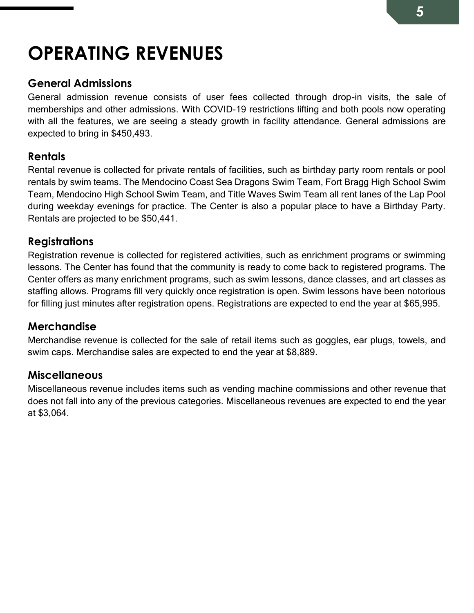## <span id="page-7-0"></span>**OPERATING REVENUES**

## <span id="page-7-1"></span>**General Admissions**

General admission revenue consists of user fees collected through drop-in visits, the sale of memberships and other admissions. With COVID-19 restrictions lifting and both pools now operating with all the features, we are seeing a steady growth in facility attendance. General admissions are expected to bring in \$450,493.

### <span id="page-7-2"></span>**Rentals**

Rental revenue is collected for private rentals of facilities, such as birthday party room rentals or pool rentals by swim teams. The Mendocino Coast Sea Dragons Swim Team, Fort Bragg High School Swim Team, Mendocino High School Swim Team, and Title Waves Swim Team all rent lanes of the Lap Pool during weekday evenings for practice. The Center is also a popular place to have a Birthday Party. Rentals are projected to be \$50,441.

## <span id="page-7-3"></span>**Registrations**

Registration revenue is collected for registered activities, such as enrichment programs or swimming lessons. The Center has found that the community is ready to come back to registered programs. The Center offers as many enrichment programs, such as swim lessons, dance classes, and art classes as staffing allows. Programs fill very quickly once registration is open. Swim lessons have been notorious for filling just minutes after registration opens. Registrations are expected to end the year at \$65,995.

## <span id="page-7-4"></span>**Merchandise**

Merchandise revenue is collected for the sale of retail items such as goggles, ear plugs, towels, and swim caps. Merchandise sales are expected to end the year at \$8,889.

## <span id="page-7-5"></span>**Miscellaneous**

Miscellaneous revenue includes items such as vending machine commissions and other revenue that does not fall into any of the previous categories. Miscellaneous revenues are expected to end the year at \$3,064.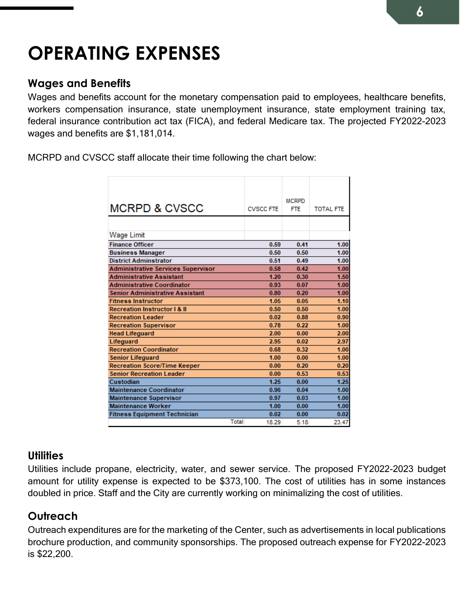## <span id="page-8-0"></span>**OPERATING EXPENSES**

#### <span id="page-8-1"></span>**Wages and Benefits**

Wages and benefits account for the monetary compensation paid to employees, healthcare benefits, workers compensation insurance, state unemployment insurance, state employment training tax, federal insurance contribution act tax (FICA), and federal Medicare tax. The projected FY2022-2023 wages and benefits are \$1,181,014.

MCRPD and CVSCC staff allocate their time following the chart below:

| MCRPD & CVSCC                           | <b>CVSCC FTE</b> | <b>MCRPD</b><br><b>FTE</b> | <b>TOTAL FTE</b> |
|-----------------------------------------|------------------|----------------------------|------------------|
|                                         |                  |                            |                  |
| <b>Wage Limit</b>                       |                  |                            |                  |
| <b>Finance Officer</b>                  | 0.59             | 0.41                       | 1.00             |
| <b>Business Manager</b>                 | 0.50             | 0.50                       | 1.00             |
| <b>District Adminstrator</b>            | 0.51             | 0.49                       | 1.00             |
| Administrative Services Supervisor      | 0.58             | 0.42                       | 1.00             |
| <b>Administrative Assistant</b>         | 1.20             | 0.30                       | 1.50             |
| <b>Administrative Coordinator</b>       | 0.93             | 0.07                       | 1.00             |
| <b>Senior Administrative Assistant</b>  | 0.80             | 0.20                       | 1.00             |
| <b>Fitness Instructor</b>               | 1.05             | 0.05                       | 1.10             |
| <b>Recreation Instructor   &amp; II</b> | 0.50             | 0.50                       | 1.00             |
| <b>Recreation Leader</b>                | 0.02             | 0.88                       | 0.90             |
| <b>Recreation Supervisor</b>            | 0.78             | 0.22                       | 1.00             |
| <b>Head Lifeguard</b>                   | 2.00             | 0.00                       | 2.00             |
| Lifeguard                               | 2.95             | 0.02                       | 2.97             |
| <b>Recreation Coordinator</b>           | 0.68             | 0.32                       | 1.00             |
| <b>Senior Lifeguard</b>                 | 1.00             | 0.00                       | 1.00             |
| <b>Recreation Score/Time Keeper</b>     | 0.00             | 0.20                       | 0.20             |
| <b>Senior Recreation Leader</b>         | 0.00             | 0.53                       | 0.53             |
| Custodian                               | 1.25             | 0.00                       | 1.25             |
| <b>Maintenance Coordinator</b>          | 0.96             | 0.04                       | 1.00             |
| <b>Maintenance Supervisor</b>           | 0.97             | 0.03                       | 1.00             |
| <b>Maintenance Worker</b>               | 1.00             | 0.00                       | 1.00             |
| <b>Fitness Equipment Technician</b>     | 0.02             | 0.00                       | 0.02             |
| Total                                   | 18.29            | 5.18                       | 23.47            |

#### <span id="page-8-2"></span>**Utilities**

Utilities include propane, electricity, water, and sewer service. The proposed FY2022-2023 budget amount for utility expense is expected to be \$373,100. The cost of utilities has in some instances doubled in price. Staff and the City are currently working on minimalizing the cost of utilities.

#### <span id="page-8-3"></span>**Outreach**

Outreach expenditures are for the marketing of the Center, such as advertisements in local publications brochure production, and community sponsorships. The proposed outreach expense for FY2022-2023 is \$22,200.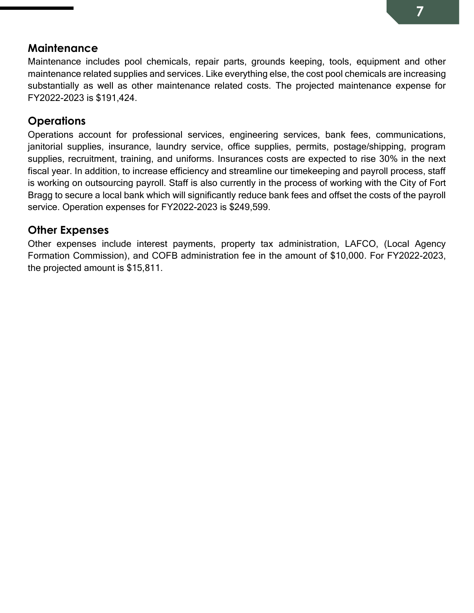#### <span id="page-9-0"></span>**Maintenance**

Maintenance includes pool chemicals, repair parts, grounds keeping, tools, equipment and other maintenance related supplies and services. Like everything else, the cost pool chemicals are increasing substantially as well as other maintenance related costs. The projected maintenance expense for FY2022-2023 is \$191,424.

### <span id="page-9-1"></span>**Operations**

Operations account for professional services, engineering services, bank fees, communications, janitorial supplies, insurance, laundry service, office supplies, permits, postage/shipping, program supplies, recruitment, training, and uniforms. Insurances costs are expected to rise 30% in the next fiscal year. In addition, to increase efficiency and streamline our timekeeping and payroll process, staff is working on outsourcing payroll. Staff is also currently in the process of working with the City of Fort Bragg to secure a local bank which will significantly reduce bank fees and offset the costs of the payroll service. Operation expenses for FY2022-2023 is \$249,599.

### <span id="page-9-2"></span>**Other Expenses**

Other expenses include interest payments, property tax administration, LAFCO, (Local Agency Formation Commission), and COFB administration fee in the amount of \$10,000. For FY2022-2023, the projected amount is \$15,811.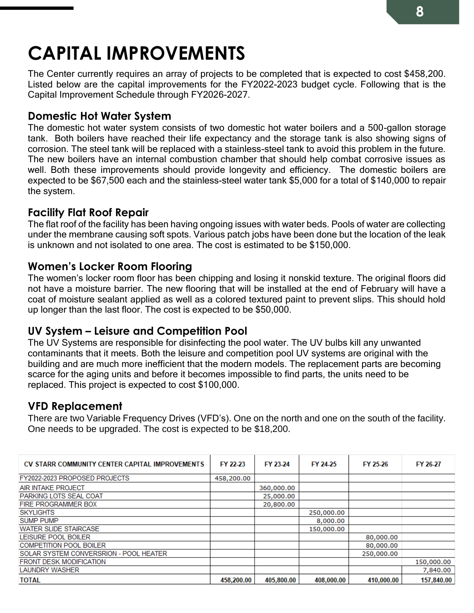## <span id="page-10-0"></span>**CAPITAL IMPROVEMENTS**

The Center currently requires an array of projects to be completed that is expected to cost \$458,200. Listed below are the capital improvements for the FY2022-2023 budget cycle. Following that is the Capital Improvement Schedule through FY2026-2027.

#### <span id="page-10-1"></span>**Domestic Hot Water System**

The domestic hot water system consists of two domestic hot water boilers and a 500-gallon storage tank. Both boilers have reached their life expectancy and the storage tank is also showing signs of corrosion. The steel tank will be replaced with a stainless-steel tank to avoid this problem in the future. The new boilers have an internal combustion chamber that should help combat corrosive issues as well. Both these improvements should provide longevity and efficiency. The domestic boilers are expected to be \$67,500 each and the stainless-steel water tank \$5,000 for a total of \$140,000 to repair the system.

#### <span id="page-10-2"></span>**Facility Flat Roof Repair**

The flat roof of the facility has been having ongoing issues with water beds. Pools of water are collecting under the membrane causing soft spots. Various patch jobs have been done but the location of the leak is unknown and not isolated to one area. The cost is estimated to be \$150,000.

#### <span id="page-10-3"></span>**Women's Locker Room Flooring**

The women's locker room floor has been chipping and losing it nonskid texture. The original floors did not have a moisture barrier. The new flooring that will be installed at the end of February will have a coat of moisture sealant applied as well as a colored textured paint to prevent slips. This should hold up longer than the last floor. The cost is expected to be \$50,000.

#### <span id="page-10-4"></span>**UV System – Leisure and Competition Pool**

The UV Systems are responsible for disinfecting the pool water. The UV bulbs kill any unwanted contaminants that it meets. Both the leisure and competition pool UV systems are original with the building and are much more inefficient that the modern models. The replacement parts are becoming scarce for the aging units and before it becomes impossible to find parts, the units need to be replaced. This project is expected to cost \$100,000.

#### <span id="page-10-5"></span>**VFD Replacement**

There are two Variable Frequency Drives (VFD's). One on the north and one on the south of the facility. One needs to be upgraded. The cost is expected to be \$18,200.

| <b>CV STARR COMMUNITY CENTER CAPITAL IMPROVEMENTS</b> | FY 22-23   | FY 23-24   | FY 24-25   | FY 25-26   | FY 26-27   |
|-------------------------------------------------------|------------|------------|------------|------------|------------|
| FY2022-2023 PROPOSED PROJECTS                         | 458,200.00 |            |            |            |            |
| AIR INTAKE PROJECT                                    |            | 360,000.00 |            |            |            |
| PARKING LOTS SEAL COAT                                |            | 25,000.00  |            |            |            |
| <b>FIRE PROGRAMMER BOX</b>                            |            | 20,800.00  |            |            |            |
| <b>SKYLIGHTS</b>                                      |            |            | 250,000.00 |            |            |
| <b>SUMP PUMP</b>                                      |            |            | 8,000.00   |            |            |
| <b>WATER SLIDE STAIRCASE</b>                          |            |            | 150,000,00 |            |            |
| LEISURE POOL BOILER                                   |            |            |            | 80,000.00  |            |
| <b>COMPETITION POOL BOILER</b>                        |            |            |            | 80,000.00  |            |
| SOLAR SYSTEM CONVERSRION - POOL HEATER                |            |            |            | 250,000,00 |            |
| <b>FRONT DESK MODIFICATION</b>                        |            |            |            |            | 150,000.00 |
| <b>LAUNDRY WASHER</b>                                 |            |            |            |            | 7,840.00   |
| <b>TOTAL</b>                                          | 458.200.00 | 405.800.00 | 408.000.00 | 410.000.00 | 157.840.00 |